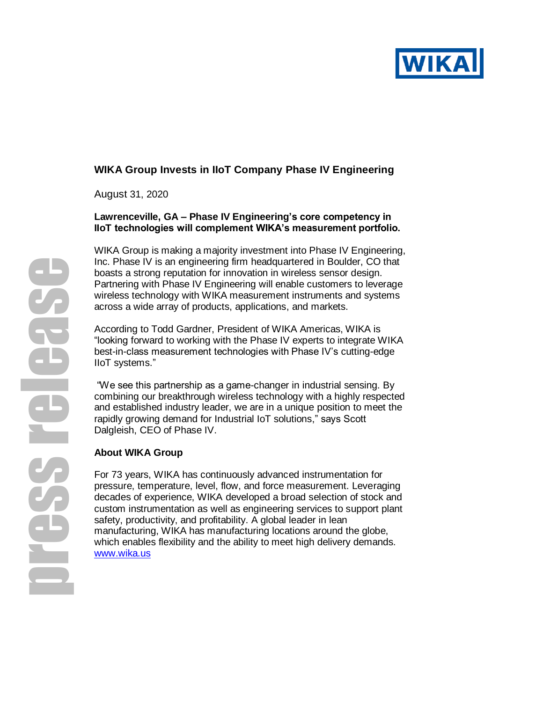

# **WIKA Group Invests in IIoT Company Phase IV Engineering**

August 31, 2020

### **Lawrenceville, GA – Phase IV Engineering's core competency in IIoT technologies will complement WIKA's measurement portfolio.**

WIKA Group is making a majority investment into Phase IV Engineering, Inc. Phase IV is an engineering firm headquartered in Boulder, CO that boasts a strong reputation for innovation in wireless sensor design. Partnering with Phase IV Engineering will enable customers to leverage wireless technology with WIKA measurement instruments and systems across a wide array of products, applications, and markets.

According to Todd Gardner, President of WIKA Americas, WIKA is "looking forward to working with the Phase IV experts to integrate WIKA best-in-class measurement technologies with Phase IV's cutting-edge IIoT systems."

"We see this partnership as a game-changer in industrial sensing. By combining our breakthrough wireless technology with a highly respected and established industry leader, we are in a unique position to meet the rapidly growing demand for Industrial IoT solutions," says Scott Dalgleish, CEO of Phase IV.

### **About WIKA Group**

For 73 years, WIKA has continuously advanced instrumentation for pressure, temperature, level, flow, and force measurement. Leveraging decades of experience, WIKA developed a broad selection of stock and custom instrumentation as well as engineering services to support plant safety, productivity, and profitability. A global leader in lean manufacturing, WIKA has manufacturing locations around the globe, which enables flexibility and the ability to meet high delivery demands. [www.wika.us](http://www.wika.us/)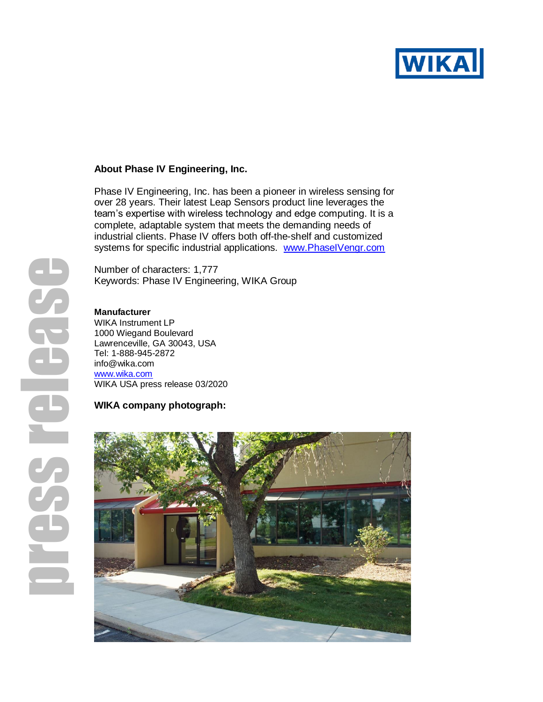

#### **About Phase IV Engineering, Inc.**

Phase IV Engineering, Inc. has been a pioneer in wireless sensing for over 28 years. Their latest Leap Sensors product line leverages the team's expertise with wireless technology and edge computing. It is a complete, adaptable system that meets the demanding needs of industrial clients. Phase IV offers both off-the-shelf and customized systems for specific industrial applications. [www.PhaseIVengr.com](file:///C:/Users/Susan/AppData/Local/Microsoft/Windows/INetCache/Content.Outlook/DW2UPDYC/www.PhaseIVengr.com)

Number of characters: 1,777 Keywords: Phase IV Engineering, WIKA Group

# **Manufacturer**

WIKA Instrument LP 1000 Wiegand Boulevard Lawrenceville, GA 30043, USA Tel: 1-888-945-2872 info@wika.com [www.wika.c](http://www.wika./)om WIKA USA press release 03/2020

# **WIKA company photograph:**